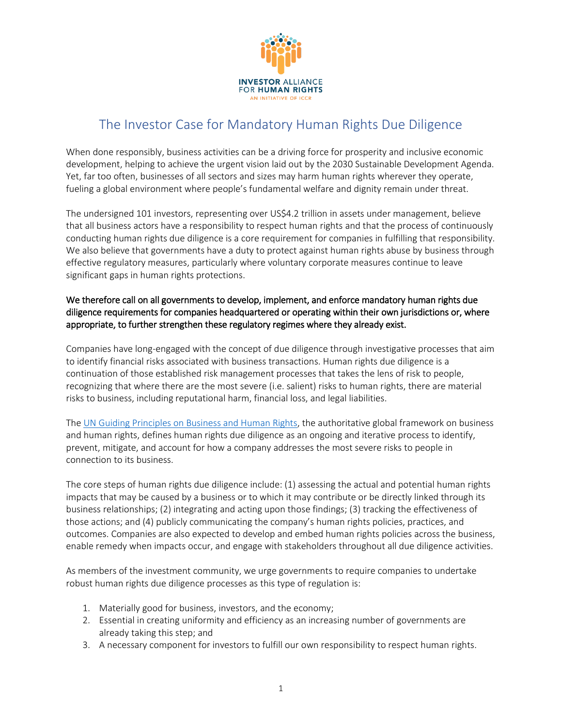

# The Investor Case for Mandatory Human Rights Due Diligence

When done responsibly, business activities can be a driving force for prosperity and inclusive economic development, helping to achieve the urgent vision laid out by the 2030 Sustainable Development Agenda. Yet, far too often, businesses of all sectors and sizes may harm human rights wherever they operate, fueling a global environment where people's fundamental welfare and dignity remain under threat.

The undersigned 101 investors, representing over US\$4.2 trillion in assets under management, believe that all business actors have a responsibility to respect human rights and that the process of continuously conducting human rights due diligence is a core requirement for companies in fulfilling that responsibility. We also believe that governments have a duty to protect against human rights abuse by business through effective regulatory measures, particularly where voluntary corporate measures continue to leave significant gaps in human rights protections.

# We therefore call on all governments to develop, implement, and enforce mandatory human rights due diligence requirements for companies headquartered or operating within their own jurisdictions or, where appropriate, to further strengthen these regulatory regimes where they already exist.

Companies have long-engaged with the concept of due diligence through investigative processes that aim to identify financial risks associated with business transactions. Human rights due diligence is a continuation of those established risk management processes that takes the lens of risk to people, recognizing that where there are the most severe (i.e. salient) risks to human rights, there are material risks to business, including reputational harm, financial loss, and legal liabilities.

The [UN Guiding Principles on Business and Human Rights,](https://www.ohchr.org/documents/publications/GuidingprinciplesBusinesshr_eN.pdf) the authoritative global framework on business and human rights, defines human rights due diligence as an ongoing and iterative process to identify, prevent, mitigate, and account for how a company addresses the most severe risks to people in connection to its business.

The core steps of human rights due diligence include: (1) assessing the actual and potential human rights impacts that may be caused by a business or to which it may contribute or be directly linked through its business relationships; (2) integrating and acting upon those findings; (3) tracking the effectiveness of those actions; and (4) publicly communicating the company's human rights policies, practices, and outcomes. Companies are also expected to develop and embed human rights policies across the business, enable remedy when impacts occur, and engage with stakeholders throughout all due diligence activities.

As members of the investment community, we urge governments to require companies to undertake robust human rights due diligence processes as this type of regulation is:

- 1. Materially good for business, investors, and the economy;
- 2. Essential in creating uniformity and efficiency as an increasing number of governments are already taking this step; and
- 3. A necessary component for investors to fulfill our own responsibility to respect human rights.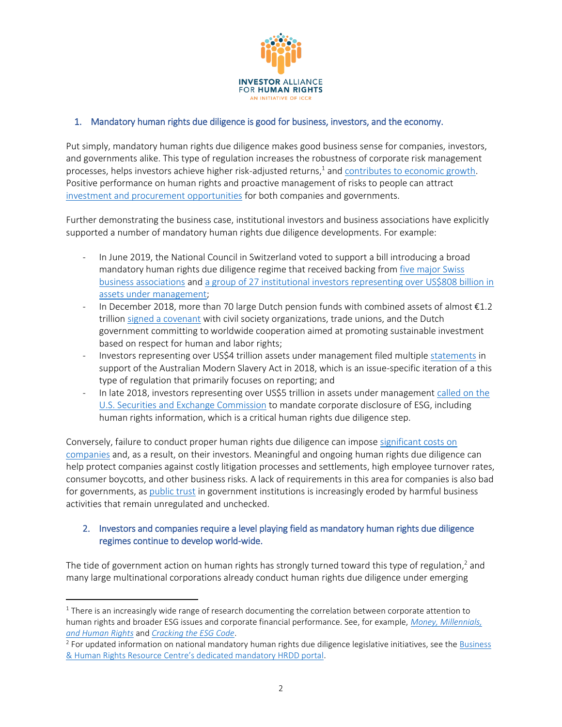

### 1. Mandatory human rights due diligence is good for business, investors, and the economy.

Put simply, mandatory human rights due diligence makes good business sense for companies, investors, and governments alike. This type of regulation increases the robustness of corporate risk management processes, helps investors achieve higher risk-adjusted returns,<sup>1</sup> and **contributes to economic growth**. Positive performance on human rights and proactive management of risks to people can attract [investment and procurement opportunities](http://corporatejustice.org/2018_good-business-report.pdf) for both companies and governments.

Further demonstrating the business case, institutional investors and business associations have explicitly supported a number of mandatory human rights due diligence developments. For example:

- In June 2019, the National Council in Switzerland voted to support a bill introducing a broad mandatory human rights due diligence regime that received backing fro[m five major Swiss](https://www.business-humanrights.org/en/what-does-switzerlands-vote-on-mandatory-due-diligence-mean-and-what-happens-next)  [business associations](https://www.business-humanrights.org/en/what-does-switzerlands-vote-on-mandatory-due-diligence-mean-and-what-happens-next) and [a group of 27 institutional investors representing over US\\$808 billion in](https://ethosfund.ch/sites/default/files/2019-09/190919_Human_rights_due_diligence_investor_statement_EN.pdf)  [assets under management;](https://ethosfund.ch/sites/default/files/2019-09/190919_Human_rights_due_diligence_investor_statement_EN.pdf)
- In December 2018, more than 70 large Dutch pension funds with combined assets of almost €1.2 trillion [signed a covenant](https://www.ipe.com/countries/netherlands/more-than-70-dutch-schemes-back-sustainable-investment-covenant/www.ipe.com/countries/netherlands/more-than-70-dutch-schemes-back-sustainable-investment-covenant/10028768.fullarticle) with civil society organizations, trade unions, and the Dutch government committing to worldwide cooperation aimed at promoting sustainable investment based on respect for human and labor rights;
- Investors representing over US\$4 trillion assets under management filed multiple [statements](https://www.business-humanrights.org/en/inquiry-into-establishment-of-a-modern-slavery-act-in-australia) in support of the Australian Modern Slavery Act in 2018, which is an issue-specific iteration of a this type of regulation that primarily focuses on reporting; and
- In late 2018, investors representing over US\$5 trillion in assets under management called on the [U.S. Securities and Exchange Commission](https://www.sec.gov/rules/petitions/2018/petn4-730.pdf) to mandate corporate disclosure of ESG, including human rights information, which is a critical human rights due diligence step.

Conversely, failure to conduct proper human rights due diligence can impose [significant costs on](https://www.shiftproject.org/media/resources/docs/Sherman_risksknowingshowing2012.pdf)  [companies](https://www.shiftproject.org/media/resources/docs/Sherman_risksknowingshowing2012.pdf) and, as a result, on their investors. Meaningful and ongoing human rights due diligence can help protect companies against costly litigation processes and settlements, high employee turnover rates, consumer boycotts, and other business risks. A lack of requirements in this area for companies is also bad for governments, as [public trust](https://www.pewresearch.org/topics/trust-in-government/) in government institutions is increasingly eroded by harmful business activities that remain unregulated and unchecked.

# 2. Investors and companies require a level playing field as mandatory human rights due diligence regimes continue to develop world-wide.

The tide of government action on human rights has strongly turned toward this type of regulation,<sup>2</sup> and many large multinational corporations already conduct human rights due diligence under emerging

 $\overline{a}$ 

 $1$  There is an increasingly wide range of research documenting the correlation between corporate attention to human rights and broader ESG issues and corporate financial performance. See, for example, *[Money, Millennials,](https://www.hks.harvard.edu/sites/default/files/centers/mrcbg/working.papers/CRI69_FINAL.pdf)  [and Human Rights](https://www.hks.harvard.edu/sites/default/files/centers/mrcbg/working.papers/CRI69_FINAL.pdf)* and *[Cracking the ESG Code](https://nordeamarkets.com/wp-content/uploads/2017/09/Strategy-and-quant_executive-summary_050917.pdf)*.

<sup>&</sup>lt;sup>2</sup> For updated information on national mandatory human rights due diligence legislative initiatives, see the **Business** [& Human Rights Resource Centre's dedicated mandatory HRDD portal](https://www.business-humanrights.org/en/mandatory-due-diligence).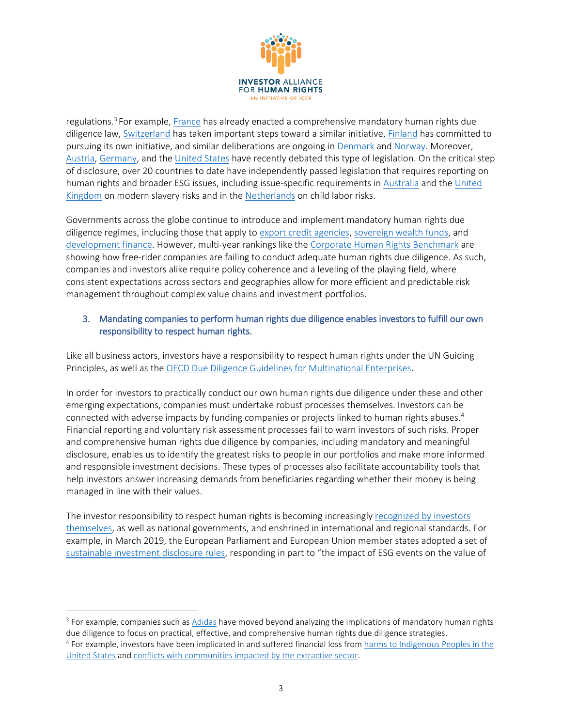

regulations.<sup>3</sup> For example, <u>[France](https://www.business-humanrights.org/en/france-natl-assembly-adopts-law-imposing-due-diligence-on-multinationals-to-prevent-serious-human-rights-abuses-in-their-supply-chains)</u> has already enacted a comprehensive mandatory human rights due diligence law, [Switzerland](https://www.business-humanrights.org/en/what-does-switzerlands-vote-on-mandatory-due-diligence-mean-and-what-happens-next) has taken important steps toward a similar initiative, [Finland](https://www.business-humanrights.org/en/finland-commits-to-mandatory-human-rights-due-diligence-at-national-eu-level) has committed to pursuing its own initiative, and similar deliberations are ongoing in [Denmark](https://www.business-humanrights.org/en/denmark-mps-call-for-mandatory-human-rights-due-diligence) an[d Norway.](https://www.business-humanrights.org/en/norwegian-govt-appoints-ethics-information-committee) Moreover, [Austria,](https://www.business-humanrights.org/en/austrian-mp-tables-draft-bill-on-social-responsibility-in-the-garment-sector) [Germany,](https://www.business-humanrights.org/de/node/187578) and th[e United States](https://financialservices.house.gov/uploadedfiles/bills-116pih-corphuman.pdf) have recently debated this type of legislation. On the critical step of disclosure, over 20 countries to date have independently passed legislation that requires reporting on human rights and broader ESG issues, including issue-specific requirements i[n Australia](https://www.legislation.gov.au/Details/C2018A00153/Html/Text) and th[e United](http://www.legislation.gov.uk/ukpga/2015/30/contents/enacted)  [Kin](http://www.legislation.gov.uk/ukpga/2015/30/contents/enacted)gdom on modern slavery risks and in the [Netherlands](https://www.business-humanrights.org/en/dutch-companies-issue-open-letter-in-support-of-child-labour-regulation) on child labor risks.

Governments across the globe continue to introduce and implement mandatory human rights due diligence regimes, including those that apply to [export credit agencies,](https://www.business-humanrights.org/en/un-guiding-principles/implementation-tools-examples/implementation-by-governments/by-type-of-initiative/export-credit-agencies) [sovereign wealth funds,](https://www.nbim.no/contentassets/0ff34e35ba1a44c3b6c2039466ccbec7/human-rights-expectations-document2.pdf) and [development finance.](https://www.oecd.org/dac/stats/development-finance-institutions-private-sector-development.htm) However, multi-year rankings like the [Corporate Human Rights Benchmark](https://www.corporatebenchmark.org/) are showing how free-rider companies are failing to conduct adequate human rights due diligence. As such, companies and investors alike require policy coherence and a leveling of the playing field, where consistent expectations across sectors and geographies allow for more efficient and predictable risk management throughout complex value chains and investment portfolios.

### 3. Mandating companies to perform human rights due diligence enables investors to fulfill our own responsibility to respect human rights.

Like all business actors, investors have a responsibility to respect human rights under the UN Guiding Principles, as well as the [OECD Due Diligence Guidelines for Multinational Enterprises.](https://mneguidelines.oecd.org/OECD-Due-Diligence-Guidance-for-Responsible-Business-Conduct.pdf)

In order for investors to practically conduct our own human rights due diligence under these and other emerging expectations, companies must undertake robust processes themselves. Investors can be connected with adverse impacts by funding companies or projects linked to human rights abuses.<sup>4</sup> Financial reporting and voluntary risk assessment processes fail to warn investors of such risks. Proper and comprehensive human rights due diligence by companies, including mandatory and meaningful disclosure, enables us to identify the greatest risks to people in our portfolios and make more informed and responsible investment decisions. These types of processes also facilitate accountability tools that help investors answer increasing demands from beneficiaries regarding whether their money is being managed in line with their values.

The investor responsibility to respect human rights is becoming increasingl[y recognized by](https://investorsforhumanrights.org/sites/default/files/attachments/2019-04/IAHR_Making%20Finance%20Work%20for%20People%20and%20Planet_FINAL.pdf) investors [themselves,](https://investorsforhumanrights.org/sites/default/files/attachments/2019-04/IAHR_Making%20Finance%20Work%20for%20People%20and%20Planet_FINAL.pdf) as well as national governments, and enshrined in international and regional standards. For example, in March 2019, the European Parliament and European Union member states adopted a set of [sustainable investment disclosure rules,](http://europa.eu/rapid/press-release_IP-19-1571_en.htm) responding in part to "the impact of ESG events on the value of

 $\overline{a}$ 

 $3$  For example, companies such as  $\underline{\rm Addas}$  have moved beyond analyzing the implications of mandatory human rights due diligence to focus on practical, effective, and comprehensive human rights due diligence strategies.

<sup>&</sup>lt;sup>4</sup> For example, investors have been implicated in and suffered financial loss from harms to Indigenous Peoples in the [United States](https://www.colorado.edu/program/fpw/sites/default/files/attached-files/social_cost_and_material_loss_0.pdf) an[d conflicts with communities impacted by the extractive sector.](https://www.csrm.uq.edu.au/media/docs/603/Costs_of_Conflict_Davis-Franks.pdf)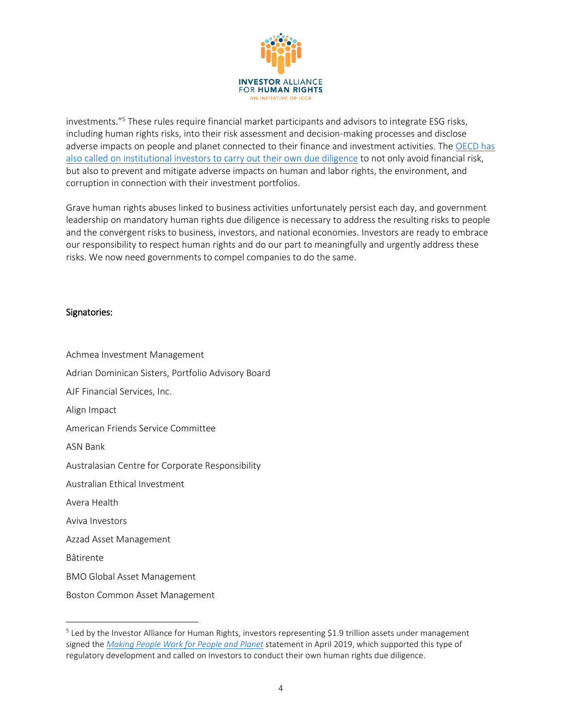

investments."<sup>5</sup> These rules require financial market participants and advisors to integrate ESG risks, including human rights risks, into their risk assessment and decision-making processes and disclose adverse impacts on people and planet connected to their finance and investment activities. The [OECD has](http://mneguidelines.oecd.org/RBC-for-Institutional-Investors.pdf)  [also called on institutional investors to carry out their own due diligence](http://mneguidelines.oecd.org/RBC-for-Institutional-Investors.pdf) to not only avoid financial risk, but also to prevent and mitigate adverse impacts on human and labor rights, the environment, and corruption in connection with their investment portfolios.

Grave human rights abuses linked to business activities unfortunately persist each day, and government leadership on mandatory human rights due diligence is necessary to address the resulting risks to people and the convergent risks to business, investors, and national economies. Investors are ready to embrace our responsibility to respect human rights and do our part to meaningfully and urgently address these risks. We now need governments to compel companies to do the same.

#### Signatories:

 $\overline{a}$ 

Achmea Investment Management Adrian Dominican Sisters, Portfolio Advisory Board AJF Financial Services, Inc. Align Impact American Friends Service Committee ASN Bank Australasian Centre for Corporate Responsibility Australian Ethical Investment Avera Health Aviva Investors Azzad Asset Management Bâtirente BMO Global Asset Management Boston Common Asset Management

<sup>&</sup>lt;sup>5</sup> Led by the Investor Alliance for Human Rights, investors representing \$1.9 trillion assets under management signed the *[Making People Work for People and Planet](https://investorsforhumanrights.org/sites/default/files/attachments/2019-04/IAHR_Making%20Finance%20Work%20for%20People%20and%20Planet_FINAL.pdf)* statement in April 2019, which supported this type of regulatory development and called on investors to conduct their own human rights due diligence.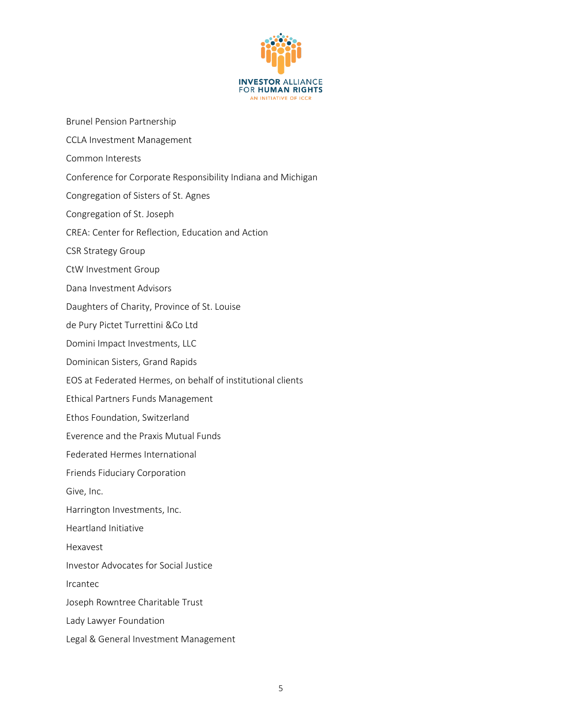

- Brunel Pension Partnership
- CCLA Investment Management
- Common Interests
- Conference for Corporate Responsibility Indiana and Michigan
- Congregation of Sisters of St. Agnes
- Congregation of St. Joseph
- CREA: Center for Reflection, Education and Action
- CSR Strategy Group
- CtW Investment Group
- Dana Investment Advisors
- Daughters of Charity, Province of St. Louise
- de Pury Pictet Turrettini &Co Ltd
- Domini Impact Investments, LLC
- Dominican Sisters, Grand Rapids
- EOS at Federated Hermes, on behalf of institutional clients
- Ethical Partners Funds Management
- Ethos Foundation, Switzerland
- Everence and the Praxis Mutual Funds
- Federated Hermes International
- Friends Fiduciary Corporation
- Give, Inc.
- Harrington Investments, Inc.
- Heartland Initiative
- Hexavest
- Investor Advocates for Social Justice
- Ircantec
- Joseph Rowntree Charitable Trust
- Lady Lawyer Foundation
- Legal & General Investment Management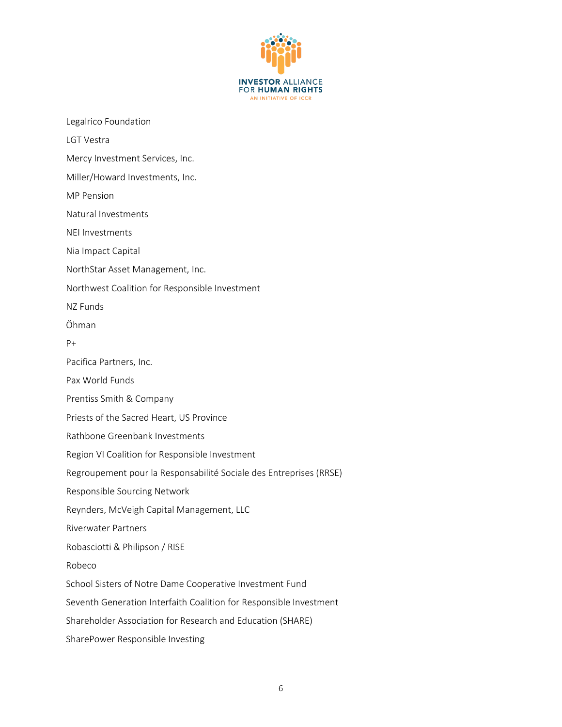

| Legalrico Foundation                                               |
|--------------------------------------------------------------------|
| LGT Vestra                                                         |
| Mercy Investment Services, Inc.                                    |
| Miller/Howard Investments, Inc.                                    |
| <b>MP Pension</b>                                                  |
| Natural Investments                                                |
| <b>NEI Investments</b>                                             |
| Nia Impact Capital                                                 |
| NorthStar Asset Management, Inc.                                   |
| Northwest Coalition for Responsible Investment                     |
| NZ Funds                                                           |
| Öhman                                                              |
| $P+$                                                               |
| Pacifica Partners, Inc.                                            |
| Pax World Funds                                                    |
| Prentiss Smith & Company                                           |
| Priests of the Sacred Heart, US Province                           |
| Rathbone Greenbank Investments                                     |
| Region VI Coalition for Responsible Investment                     |
| Regroupement pour la Responsabilité Sociale des Entreprises (RRSE) |
| Responsible Sourcing Network                                       |
| Reynders, McVeigh Capital Management, LLC                          |
| <b>Riverwater Partners</b>                                         |
| Robasciotti & Philipson / RISE                                     |
| Robeco                                                             |
| School Sisters of Notre Dame Cooperative Investment Fund           |
| Seventh Generation Interfaith Coalition for Responsible Investment |
| Shareholder Association for Research and Education (SHARE)         |
| SharePower Responsible Investing                                   |